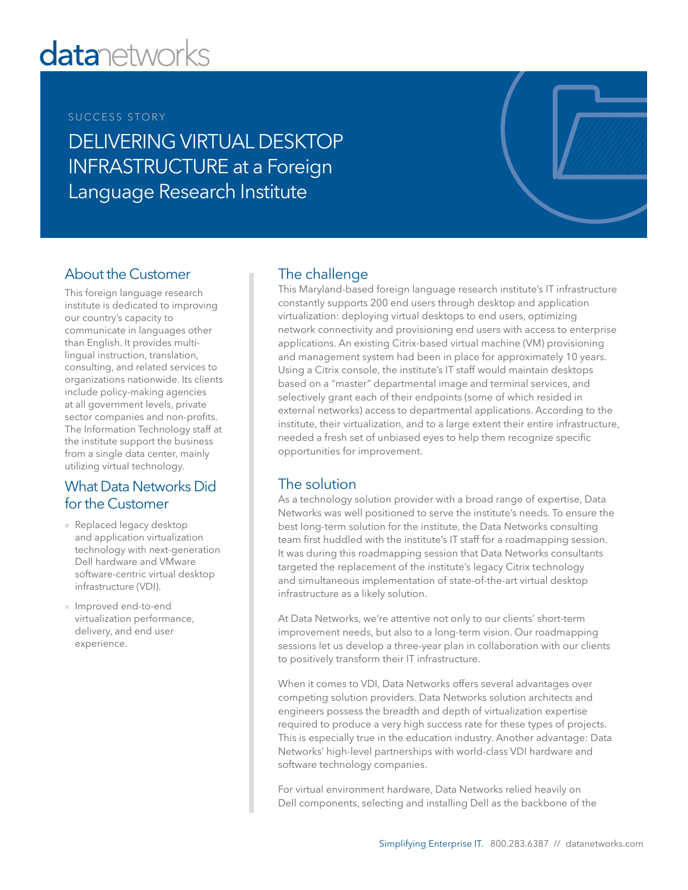# **datanetworks**

#### SUCCESS STORY

DELIVERING VIRTUAL DESKTOP INFRASTRUCTURE at a Foreign Language Research Institute

# About the Customer

This foreign language research institute is dedicated to improving our country's capacity to communicate in languages other than English. It provides multilingual instruction, translation, consulting, and related services to organizations nationwide. Its clients include policy-making agencies at all government levels, private sector companies and non-profits. The Information Technology staff at the institute support the business from a single data center, mainly utilizing virtual technology.

## What Data Networks Did for the Customer

- Replaced legacy desktop and application virtualization technology with next-generation Dell hardware and VMware software-centric virtual desktop infrastructure (VDI).
- Improved end-to-end virtualization performance, delivery, and end user experience.

## The challenge

This Maryland-based foreign language research institute's IT infrastructure constantly supports 200 end users through desktop and application virtualization: deploying virtual desktops to end users, optimizing network connectivity and provisioning end users with access to enterprise applications. An existing Citrix-based virtual machine (VM) provisioning and management system had been in place for approximately 10 years. Using a Citrix console, the institute's IT staff would maintain desktops based on a "master" departmental image and terminal services, and selectively grant each of their endpoints (some of which resided in external networks) access to departmental applications. According to the institute, their virtualization, and to a large extent their entire infrastructure, needed a fresh set of unbiased eyes to help them recognize specific opportunities for improvement.

### The solution

As a technology solution provider with a broad range of expertise, Data Networks was well positioned to serve the institute's needs. To ensure the best long-term solution for the institute, the Data Networks consulting team first huddled with the institute's IT staff for a roadmapping session. It was during this roadmapping session that Data Networks consultants targeted the replacement of the institute's legacy Citrix technology and simultaneous implementation of state-of-the-art virtual desktop infrastructure as a likely solution.

At Data Networks, we're attentive not only to our clients' short-term improvement needs, but also to a long-term vision. Our roadmapping sessions let us develop a three-year plan in collaboration with our clients to positively transform their IT infrastructure.

When it comes to VDI, Data Networks offers several advantages over competing solution providers. Data Networks solution architects and engineers possess the breadth and depth of virtualization expertise required to produce a very high success rate for these types of projects. This is especially true in the education industry. Another advantage: Data Networks' high-level partnerships with world-class VDI hardware and software technology companies.

For virtual environment hardware, Data Networks relied heavily on Dell components, selecting and installing Dell as the backbone of the